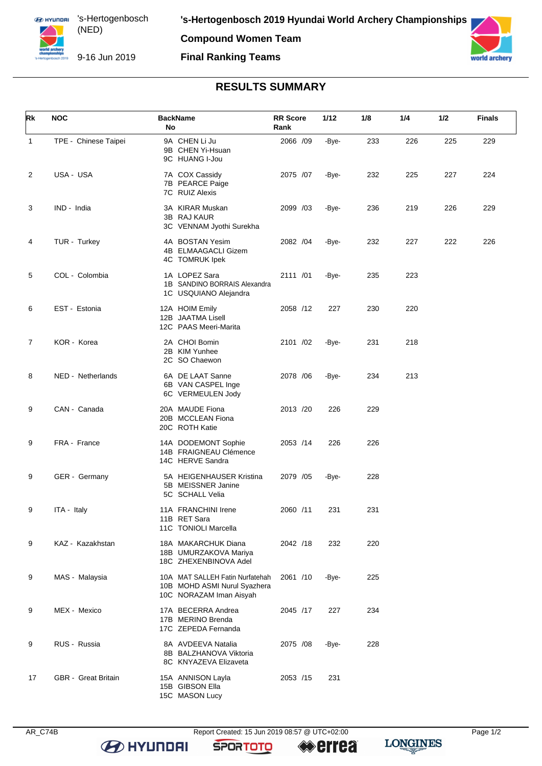**Compound Women Team Final Ranking Teams**



## **RESULTS SUMMARY**

| Rk           | <b>NOC</b>           | <b>BackName</b><br>No                                                                      | <b>RR Score</b><br>Rank | 1/12  | 1/8 | 1/4 | 1/2 | Finals |
|--------------|----------------------|--------------------------------------------------------------------------------------------|-------------------------|-------|-----|-----|-----|--------|
| $\mathbf{1}$ | TPE - Chinese Taipei | 9A CHEN Li Ju<br>9B CHEN Yi-Hsuan<br>9C HUANG I-Jou                                        | 2066 /09                | -Bye- | 233 | 226 | 225 | 229    |
| 2            | USA - USA            | 7A COX Cassidy<br>7B PEARCE Paige<br>7C RUIZ Alexis                                        | 2075 /07                | -Bye- | 232 | 225 | 227 | 224    |
| 3            | IND - India          | 3A KIRAR Muskan<br>3B RAJ KAUR<br>3C VENNAM Jyothi Surekha                                 | 2099 /03                | -Bye- | 236 | 219 | 226 | 229    |
| 4            | TUR - Turkey         | 4A BOSTAN Yesim<br>4B ELMAAGACLI Gizem<br>4C TOMRUK Ipek                                   | 2082 / 04               | -Bye- | 232 | 227 | 222 | 226    |
| 5            | COL - Colombia       | 1A LOPEZ Sara<br>1B SANDINO BORRAIS Alexandra<br>1C USQUIANO Alejandra                     | 2111 /01                | -Bye- | 235 | 223 |     |        |
| 6            | EST - Estonia        | 12A HOIM Emily<br>12B JAATMA Lisell<br>12C PAAS Meeri-Marita                               | 2058 /12                | 227   | 230 | 220 |     |        |
| 7            | KOR - Korea          | 2A CHOI Bomin<br>2B KIM Yunhee<br>2C SO Chaewon                                            | 2101 /02                | -Bye- | 231 | 218 |     |        |
| 8            | NED - Netherlands    | 6A DE LAAT Sanne<br>6B VAN CASPEL Inge<br>6C VERMEULEN Jody                                | 2078 / 06               | -Bye- | 234 | 213 |     |        |
| 9            | CAN - Canada         | 20A MAUDE Fiona<br>20B MCCLEAN Fiona<br>20C ROTH Katie                                     | 2013 /20                | 226   | 229 |     |     |        |
| 9            | FRA - France         | 14A DODEMONT Sophie<br>14B FRAIGNEAU Clémence<br>14C HERVE Sandra                          | 2053 /14                | 226   | 226 |     |     |        |
| 9            | GER - Germany        | 5A HEIGENHAUSER Kristina<br>5B MEISSNER Janine<br>5C SCHALL Velia                          | 2079 /05                | -Bye- | 228 |     |     |        |
| 9            | ITA - Italy          | 11A FRANCHINI Irene<br>11B RET Sara<br>11C TONIOLI Marcella                                | 2060 /11                | 231   | 231 |     |     |        |
| 9            | KAZ - Kazakhstan     | 18A MAKARCHUK Diana<br>18B UMURZAKOVA Mariya<br>18C ZHEXENBINOVA Adel                      | 2042 /18                | 232   | 220 |     |     |        |
| 9            | MAS - Malaysia       | 10A MAT SALLEH Fatin Nurfatehah<br>10B MOHD ASMI Nurul Syazhera<br>10C NORAZAM Iman Aisyah | 2061 /10                | -Bye- | 225 |     |     |        |
| 9            | MEX - Mexico         | 17A BECERRA Andrea<br>17B MERINO Brenda<br>17C ZEPEDA Fernanda                             | 2045 /17                | 227   | 234 |     |     |        |
| 9            | RUS - Russia         | 8A AVDEEVA Natalia<br>8B BALZHANOVA Viktoria<br>8C KNYAZEVA Elizaveta                      | 2075 / 08               | -Bye- | 228 |     |     |        |
| 17           | GBR - Great Britain  | 15A ANNISON Layla<br>15B GIBSON Ella<br>15C MASON Lucy                                     | 2053 /15                | 231   |     |     |     |        |

AR\_C74B Report Created: 15 Jun 2019 08:57 @ UTC+02:00

**LONGINES**